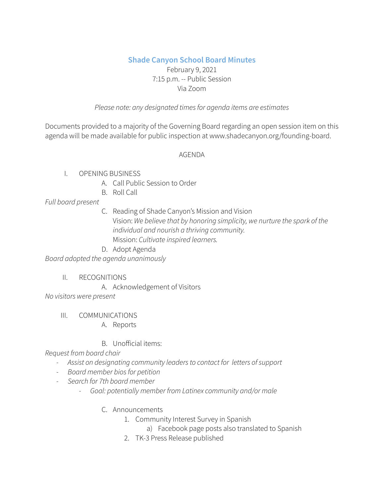# **Shade Canyon School Board Minutes**

#### February 9, 2021 7:15 p.m. -- Public Session Via Zoom

#### *Please note: any designated timesfor agenda items are estimates*

Documents provided to a majority of the Governing Board regarding an open session item on this agenda will be made available for public inspection at www.shadecanyon.org/founding-board.

#### AGENDA

#### I. OPENING BUSINESS

- A. Call Public Session to Order
- B. Roll Call

## *Full board present*

C. Reading of Shade Canyon's Mission and Vision Vision: *We believe that by honoring simplicity, we nurture the spark of the individual and nourish a thriving community.* Mission: *Cultivate inspired learners.*

#### D. Adopt Agenda

*Board adopted the agenda unanimously*

II. RECOGNITIONS

A. Acknowledgement of Visitors

*No visitors were present*

III. COMMUNICATIONS

A. Reports

#### B. Unofficial items:

*Request from board chair*

- *- Assist on designating community leadersto contact for letters ofsupport*
- *- Board member biosfor petition*
- *- Search for 7th board member*
	- *- Goal: potentially member from Latinex community and/or male*
		- C. Announcements
			- 1. Community Interest Survey in Spanish
				- a) Facebook page posts also translated to Spanish
			- 2. TK-3 Press Release published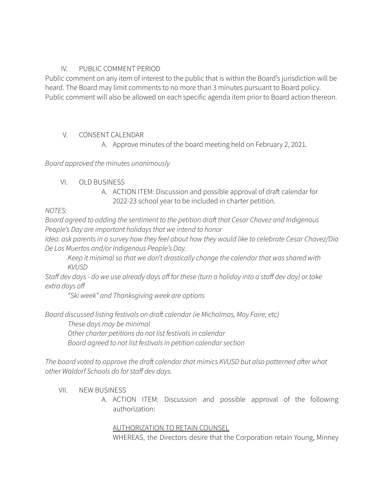#### IV. PUBLIC COMMENT PERIOD

Public comment on any item of interest to the public that is within the Board's jurisdiction will be heard. The Board may limit comments to no more than 3 minutes pursuant to Board policy. Public comment will also be allowed on each specific agenda item prior to Board action thereon.

#### V. CONSENT CALENDAR

A. Approve minutes of the board meeting held on February 2, 2021.

*Board approved the minutes unanimously*

## VI. OLD BUSINESS

A. ACTION ITEM: Discussion and possible approval of draft calendar for 2022-23 school year to be included in charter petition.

## *NOTES:*

*Board agreed to adding the sentiment to the petition draft that Cesar Chavez and Indigenous People's Day are important holidaysthat we intend to honor*

*Idea: ask parentsin a survey how they feel about how they would like to celebrate Cesar Chavez/Dia De Los Muertos and/or Indigenous People's Day.*

*Keep it minimalso that we don't drastically change the calendar that wasshared with KVUSD*

Staff dev days - do we use already days off for these (turn a holiday into a staff dev day) or take *extra days off*

*"Ski week" and Thanksgiving week are options*

*Board discussed listing festivals on draft calendar (ie Michalmas, May Faire, etc) These days may be minimal Other charter petitions do not list festivalsin calendar Board agreed to not list festivalsin petition calendarsection*

*The board voted to approve the draft calendar that mimics KVUSD but also patterned after what other Waldorf Schools do forstaff dev days.*

# VII. NEW BUSINESS

A. ACTION ITEM: Discussion and possible approval of the following authorization:

#### AUTHORIZATION TO RETAIN COUNSEL

WHEREAS, the Directors desire that the Corporation retain Young, Minney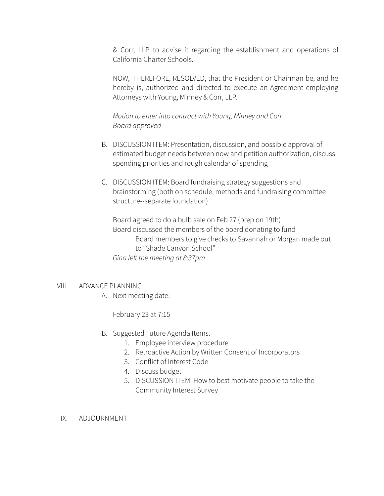& Corr, LLP to advise it regarding the establishment and operations of California Charter Schools.

NOW, THEREFORE, RESOLVED, that the President or Chairman be, and he hereby is, authorized and directed to execute an Agreement employing Attorneys with Young, Minney & Corr, LLP.

*Motion to enter into contract with Young, Minney and Corr Board approved*

- B. DISCUSSION ITEM: Presentation, discussion, and possible approval of estimated budget needs between now and petition authorization, discuss spending priorities and rough calendar of spending
- C. DISCUSSION ITEM: Board fundraising strategy suggestions and brainstorming (both on schedule, methods and fundraising committee structure--separate foundation)

Board agreed to do a bulb sale on Feb 27 (prep on 19th) Board discussed the members of the board donating to fund Board members to give checks to Savannah or Morgan made out to "Shade Canyon School" *Gina left the meeting at 8:37pm*

#### VIII. ADVANCE PLANNING

A. Next meeting date:

February 23 at 7:15

- B. Suggested Future Agenda Items.
	- 1. Employee interview procedure
	- 2. Retroactive Action by Written Consent of Incorporators
	- 3. Conflict of Interest Code
	- 4. DIscuss budget
	- 5. DISCUSSION ITEM: How to best motivate people to take the Community Interest Survey
- IX. ADJOURNMENT